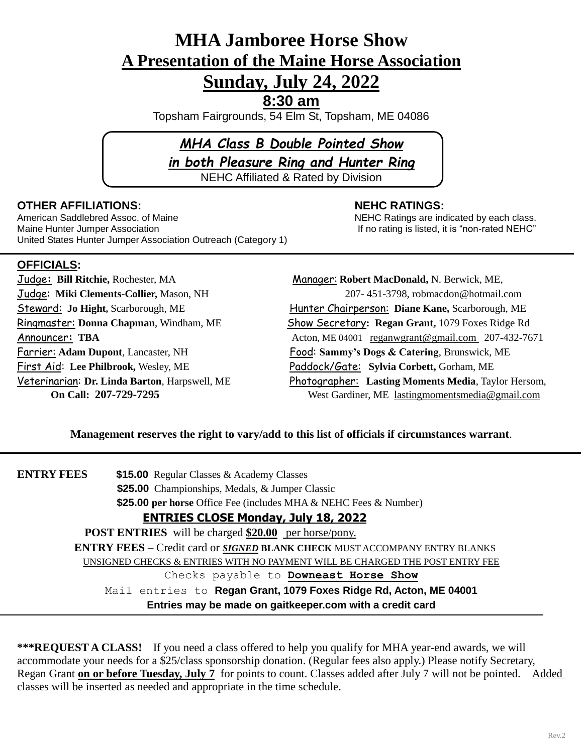# **MHA Jamboree Horse Show A Presentation of the Maine Horse Association Sunday, July 24, 2022**

**8:30 am**

Topsham Fairgrounds, 54 Elm St, Topsham, ME 04086

# *MHA Class B Double Pointed Show in both Pleasure Ring and Hunter Ring* NEHC Affiliated & Rated by Division

## **OTHER AFFILIATIONS: NEHC RATINGS:**

American Saddlebred Assoc. of Maine New York NEHC Ratings are indicated by each class. Maine Hunter Jumper Association Internation International If no rating is listed, it is "non-rated NEHC" United States Hunter Jumper Association Outreach (Category 1)

# **OFFICIALS:**

First Aid: **Lee Philbrook,** Wesley, ME Paddock/Gate: **Sylvia Corbett,** Gorham, ME

Judge**: Bill Ritchie,** Rochester, MAManager: **Robert MacDonald,** N. Berwick, ME, Judge: **Miki Clements-Collier,** Mason, NH 207- 451-3798, robmacdon@hotmail.com **Steward:** Jo Hight, Scarborough, ME **Hunter Chairperson: Diane Kane, Scarborough, ME** Ringmaster: **Donna Chapman**, Windham, ME Show Secretary**: Regan Grant,** 1079 Foxes Ridge Rd Announcer: **TBA** Acton, ME 04001 [reganwgrant@gmail.com](mailto:reganwgrant@gmail.com) 207-432-7671 Farrier: **Adam Dupont**, Lancaster, NHFood: **Sammy's Dogs & Catering**, Brunswick, ME Veterinarian: **Dr. Linda Barton**, Harpswell, ME Photographer: **Lasting Moments Media**, Taylor Hersom, **On Call: 207-729-7295** West Gardiner, ME [lastingmomentsmedia@gmail.com](mailto:lastingmomentsmedia@gmail.com)

#### **Management reserves the right to vary/add to this list of officials if circumstances warrant**.

**ENTRY FEES \$15.00** Regular Classes & Academy Classes

**\$25.00** Championships, Medals, & Jumper Classic

**\$25.00 per horse** Office Fee (includes MHA & NEHC Fees & Number)

# **ENTRIES CLOSE Monday, July 18, 2022**

**POST ENTRIES** will be charged \$20.00 per horse/pony. **ENTRY FEES** – Credit card or *SIGNED* **BLANK CHECK** MUST ACCOMPANY ENTRY BLANKS UNSIGNED CHECKS & ENTRIES WITH NO PAYMENT WILL BE CHARGED THE POST ENTRY FEE Checks payable to **Downeast Horse Show** Mail entries to **Regan Grant, 1079 Foxes Ridge Rd, Acton, ME 04001 Entries may be made on gaitkeeper.com with a credit card**

**\*\*\*REQUEST A CLASS!** If you need a class offered to help you qualify for MHA year-end awards, we will accommodate your needs for a \$25/class sponsorship donation. (Regular fees also apply.) Please notify Secretary, Regan Grant **on or before Tuesday, July 7** for points to count. Classes added after July 7 will not be pointed. Added classes will be inserted as needed and appropriate in the time schedule.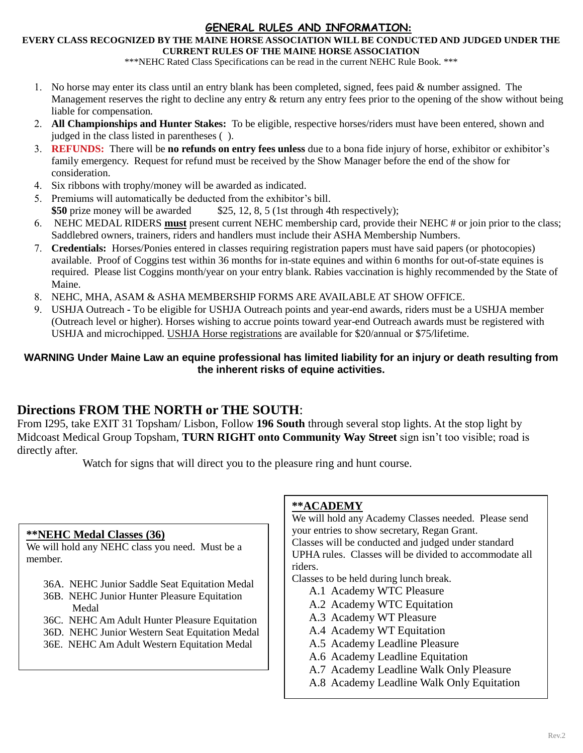### **GENERAL RULES AND INFORMATION:**

#### **EVERY CLASS RECOGNIZED BY THE MAINE HORSE ASSOCIATION WILL BE CONDUCTED AND JUDGED UNDER THE CURRENT RULES OF THE MAINE HORSE ASSOCIATION**

\*\*\*NEHC Rated Class Specifications can be read in the current NEHC Rule Book. \*\*\*

- 1. No horse may enter its class until an entry blank has been completed, signed, fees paid  $&$  number assigned. The Management reserves the right to decline any entry & return any entry fees prior to the opening of the show without being liable for compensation.
- **All Championships and Hunter Stakes:** To be eligible, respective horses/riders must have been entered, shown and judged in the class listed in parentheses ( ).
- **REFUNDS:** There will be **no refunds on entry fees unless** due to a bona fide injury of horse, exhibitor or exhibitor's family emergency. Request for refund must be received by the Show Manager before the end of the show for consideration.
- Six ribbons with trophy/money will be awarded as indicated.
- Premiums will automatically be deducted from the exhibitor's bill. **\$50** prize money will be awarded \$25, 12, 8, 5 (1st through 4th respectively);
- NEHC MEDAL RIDERS **must** present current NEHC membership card, provide their NEHC # or join prior to the class; Saddlebred owners, trainers, riders and handlers must include their ASHA Membership Numbers.
- **Credentials:** Horses/Ponies entered in classes requiring registration papers must have said papers (or photocopies) available. Proof of Coggins test within 36 months for in-state equines and within 6 months for out-of-state equines is required. Please list Coggins month/year on your entry blank. Rabies vaccination is highly recommended by the State of Maine.
- NEHC, MHA, ASAM & ASHA MEMBERSHIP FORMS ARE AVAILABLE AT SHOW OFFICE.
- USHJA Outreach **-** To be eligible for USHJA Outreach points and year-end awards, riders must be a USHJA member (Outreach level or higher). Horses wishing to accrue points toward year-end Outreach awards must be registered with USHJA and microchipped. USHJA Horse [registrations](https://www.ushja.org/membership/horses) are available for \$20/annual or \$75/lifetime.

#### **WARNING Under Maine Law an equine professional has limited liability for an injury or death resulting from the inherent risks of equine activities.**

# **Directions FROM THE NORTH or THE SOUTH**:

From I295, take EXIT 31 Topsham/ Lisbon, Follow **196 South** through several stop lights. At the stop light by Midcoast Medical Group Topsham, **TURN RIGHT onto Community Way Street** sign isn't too visible; road is directly after.

Watch for signs that will direct you to the pleasure ring and hunt course.

#### **\*\*NEHC Medal Classes (36)**

We will hold any NEHC class you need. Must be a member.

- 36A. NEHC Junior Saddle Seat Equitation Medal
- 36B. NEHC Junior Hunter Pleasure Equitation Medal
- 36C. NEHC Am Adult Hunter Pleasure Equitation
- 36D. NEHC Junior Western Seat Equitation Medal
- 36E. NEHC Am Adult Western Equitation Medal

#### **\*\*ACADEMY**

We will hold any Academy Classes needed. Please send your entries to show secretary, Regan Grant. Classes will be conducted and judged under standard UPHA rules. Classes will be divided to accommodate all riders.

Classes to be held during lunch break.

- A.1 Academy WTC Pleasure
- A.2 Academy WTC Equitation
- A.3 Academy WT Pleasure
- A.4 Academy WT Equitation
- A.5 Academy Leadline Pleasure
- A.6 Academy Leadline Equitation
- A.7 Academy Leadline Walk Only Pleasure
- A.8 Academy Leadline Walk Only Equitation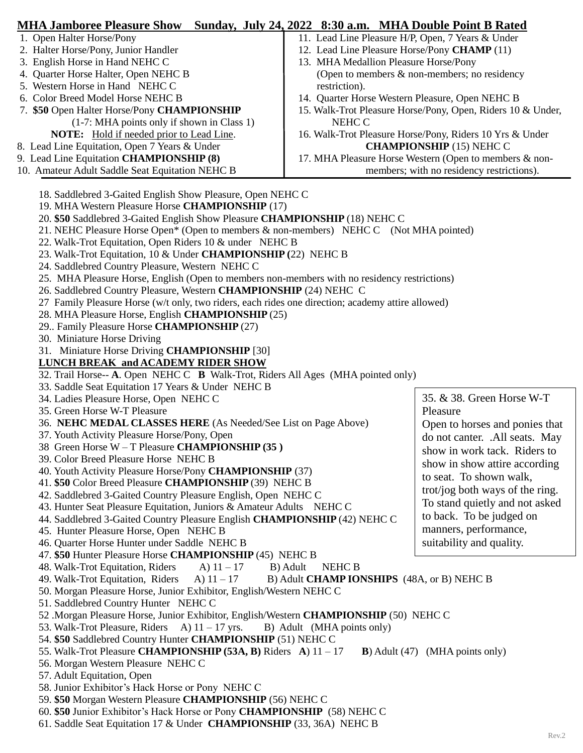| <b>MHA Jamboree Pleasure Show</b> Sunday, July 24, 2022 8:30 a.m. MHA Double Point B Rated        |                                                             |
|---------------------------------------------------------------------------------------------------|-------------------------------------------------------------|
| 1. Open Halter Horse/Pony                                                                         | 11. Lead Line Pleasure H/P, Open, 7 Years & Under           |
| 2. Halter Horse/Pony, Junior Handler                                                              | 12. Lead Line Pleasure Horse/Pony CHAMP (11)                |
| 3. English Horse in Hand NEHC C                                                                   | 13. MHA Medallion Pleasure Horse/Pony                       |
| 4. Quarter Horse Halter, Open NEHC B                                                              | (Open to members $\&$ non-members; no residency             |
| 5. Western Horse in Hand NEHC C                                                                   | restriction).                                               |
| 6. Color Breed Model Horse NEHC B                                                                 | 14. Quarter Horse Western Pleasure, Open NEHC B             |
| 7. \$50 Open Halter Horse/Pony CHAMPIONSHIP                                                       | 15. Walk-Trot Pleasure Horse/Pony, Open, Riders 10 & Under, |
| (1-7: MHA points only if shown in Class 1)                                                        | NEHC C                                                      |
| <b>NOTE:</b> Hold if needed prior to Lead Line.                                                   | 16. Walk-Trot Pleasure Horse/Pony, Riders 10 Yrs & Under    |
| 8. Lead Line Equitation, Open 7 Years & Under                                                     | <b>CHAMPIONSHIP (15) NEHC C</b>                             |
| 9. Lead Line Equitation CHAMPIONSHIP (8)                                                          | 17. MHA Pleasure Horse Western (Open to members & non-      |
| 10. Amateur Adult Saddle Seat Equitation NEHC B                                                   | members; with no residency restrictions).                   |
|                                                                                                   |                                                             |
| 18. Saddlebred 3-Gaited English Show Pleasure, Open NEHC C                                        |                                                             |
| 19. MHA Western Pleasure Horse CHAMPIONSHIP (17)                                                  |                                                             |
| 20. \$50 Saddlebred 3-Gaited English Show Pleasure CHAMPIONSHIP (18) NEHC C                       |                                                             |
| 21. NEHC Pleasure Horse Open* (Open to members & non-members) NEHC C (Not MHA pointed)            |                                                             |
| 22. Walk-Trot Equitation, Open Riders 10 & under NEHC B                                           |                                                             |
| 23. Walk-Trot Equitation, 10 & Under CHAMPIONSHIP (22) NEHC B                                     |                                                             |
| 24. Saddlebred Country Pleasure, Western NEHC C                                                   |                                                             |
| 25. MHA Pleasure Horse, English (Open to members non-members with no residency restrictions)      |                                                             |
| 26. Saddlebred Country Pleasure, Western CHAMPIONSHIP (24) NEHC C                                 |                                                             |
| 27 Family Pleasure Horse (w/t only, two riders, each rides one direction; academy attire allowed) |                                                             |
| 28. MHA Pleasure Horse, English CHAMPIONSHIP (25)                                                 |                                                             |
| 29. Family Pleasure Horse CHAMPIONSHIP (27)                                                       |                                                             |
| 30. Miniature Horse Driving                                                                       |                                                             |
|                                                                                                   |                                                             |
| 31. Miniature Horse Driving CHAMPIONSHIP [30]                                                     |                                                             |
| <b>LUNCH BREAK and ACADEMY RIDER SHOW</b>                                                         |                                                             |
| 32. Trail Horse-- A. Open NEHC C B Walk-Trot, Riders All Ages (MHA pointed only)                  |                                                             |
| 33. Saddle Seat Equitation 17 Years & Under NEHC B                                                | 35. & 38. Green Horse W-T                                   |
| 34. Ladies Pleasure Horse, Open NEHC C                                                            |                                                             |
| 35. Green Horse W-T Pleasure                                                                      | Pleasure                                                    |
| 36. NEHC MEDAL CLASSES HERE (As Needed/See List on Page Above)                                    | Open to horses and ponies that                              |
| 37. Youth Activity Pleasure Horse/Pony, Open                                                      | do not canter. .All seats. May                              |
| 38 Green Horse W - T Pleasure CHAMPIONSHIP (35)                                                   | show in work tack. Riders to                                |
| 39. Color Breed Pleasure Horse NEHC B                                                             | show in show attire according                               |
| 40. Youth Activity Pleasure Horse/Pony CHAMPIONSHIP (37)                                          | to seat. To shown walk,                                     |
| 41. \$50 Color Breed Pleasure CHAMPIONSHIP (39) NEHC B                                            | trot/jog both ways of the ring.                             |
| 42. Saddlebred 3-Gaited Country Pleasure English, Open NEHC C                                     | To stand quietly and not asked                              |
| 43. Hunter Seat Pleasure Equitation, Juniors & Amateur Adults NEHC C                              | to back. To be judged on                                    |
| 44. Saddlebred 3-Gaited Country Pleasure English CHAMPIONSHIP (42) NEHC C                         |                                                             |
| 45. Hunter Pleasure Horse, Open NEHC B                                                            | manners, performance,                                       |
| 46. Quarter Horse Hunter under Saddle NEHC B                                                      | suitability and quality.                                    |
| 47. \$50 Hunter Pleasure Horse CHAMPIONSHIP (45) NEHC B                                           |                                                             |
| 48. Walk-Trot Equitation, Riders<br>A) $11-17$                                                    | B) Adult<br><b>NEHC B</b>                                   |
| 49. Walk-Trot Equitation, Riders<br>A) $11-17$                                                    | B) Adult <b>CHAMP IONSHIPS</b> (48A, or B) NEHC B           |
| 50. Morgan Pleasure Horse, Junior Exhibitor, English/Western NEHC C                               |                                                             |
| 51. Saddlebred Country Hunter NEHC C                                                              |                                                             |
| 52 .Morgan Pleasure Horse, Junior Exhibitor, English/Western CHAMPIONSHIP (50) NEHC C             |                                                             |
| 53. Walk-Trot Pleasure, Riders A) $11 - 17$ yrs.<br>B) Adult (MHA points only)                    |                                                             |
| 54. \$50 Saddlebred Country Hunter CHAMPIONSHIP (51) NEHC C                                       |                                                             |
| 55. Walk-Trot Pleasure CHAMPIONSHIP (53A, B) Riders A) $11 - 17$                                  | <b>B</b> ) Adult (47) (MHA points only)                     |
| 56. Morgan Western Pleasure NEHC C                                                                |                                                             |
| 57. Adult Equitation, Open                                                                        |                                                             |
| 58. Junior Exhibitor's Hack Horse or Pony NEHC C                                                  |                                                             |
| 59. \$50 Morgan Western Pleasure CHAMPIONSHIP (56) NEHC C                                         |                                                             |
| 60. \$50 Junior Exhibitor's Hack Horse or Pony CHAMPIONSHIP (58) NEHC C                           |                                                             |

61. Saddle Seat Equitation 17 & Under **CHAMPIONSHIP** (33, 36A) NEHC B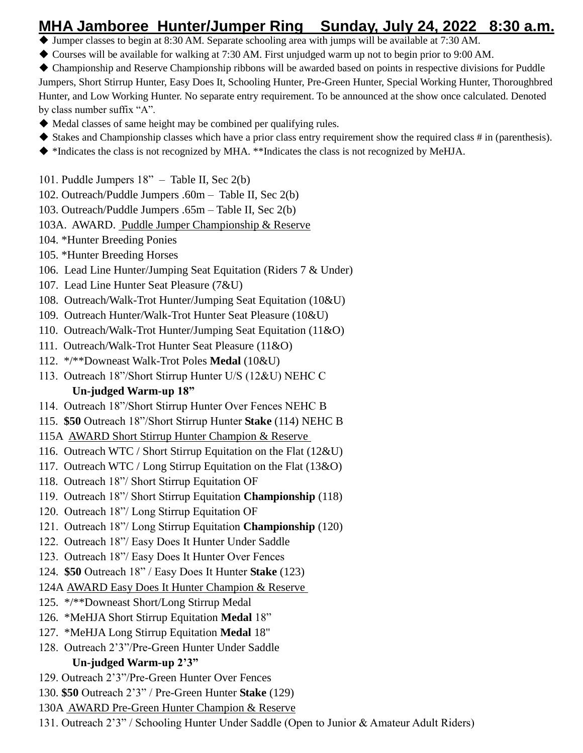# **MHA Jamboree Hunter/Jumper Ring Sunday, July 24, 2022 8:30 a.m.**

- Jumper classes to begin at 8:30 AM. Separate schooling area with jumps will be available at 7:30 AM.
- Courses will be available for walking at 7:30 AM. First unjudged warm up not to begin prior to 9:00 AM.
- Championship and Reserve Championship ribbons will be awarded based on points in respective divisions for Puddle Jumpers, Short Stirrup Hunter, Easy Does It, Schooling Hunter, Pre-Green Hunter, Special Working Hunter, Thoroughbred Hunter, and Low Working Hunter. No separate entry requirement. To be announced at the show once calculated. Denoted by class number suffix "A".
- $\blacklozenge$  Medal classes of same height may be combined per qualifying rules.
- $\blacklozenge$  Stakes and Championship classes which have a prior class entry requirement show the required class # in (parenthesis).
- \*Indicates the class is not recognized by MHA. \*\*Indicates the class is not recognized by MeHJA.
- 101. Puddle Jumpers 18" Table II, Sec 2(b)
- 102. Outreach/Puddle Jumpers .60m Table II, Sec 2(b)
- 103. Outreach/Puddle Jumpers .65m Table II, Sec 2(b)
- 103A. AWARD. Puddle Jumper Championship & Reserve
- 104. \*Hunter Breeding Ponies
- 105. \*Hunter Breeding Horses
- 106. Lead Line Hunter/Jumping Seat Equitation (Riders 7 & Under)
- 107. Lead Line Hunter Seat Pleasure (7&U)
- 108. Outreach/Walk-Trot Hunter/Jumping Seat Equitation (10&U)
- 109. Outreach Hunter/Walk-Trot Hunter Seat Pleasure (10&U)
- 110. Outreach/Walk-Trot Hunter/Jumping Seat Equitation (11&O)
- 111. Outreach/Walk-Trot Hunter Seat Pleasure (11&O)
- 112. \*/\*\*Downeast Walk-Trot Poles **Medal** (10&U)
- 113. Outreach 18"/Short Stirrup Hunter U/S (12&U) NEHC C

# **Un-judged Warm-up 18"**

- 114. Outreach 18"/Short Stirrup Hunter Over Fences NEHC B
- 115. **\$50** Outreach 18"/Short Stirrup Hunter **Stake** (114) NEHC B
- 115A AWARD Short Stirrup Hunter Champion & Reserve
- 116. Outreach WTC / Short Stirrup Equitation on the Flat (12&U)
- 117. Outreach WTC / Long Stirrup Equitation on the Flat (13&O)
- 118. Outreach 18"/ Short Stirrup Equitation OF
- 119. Outreach 18"/ Short Stirrup Equitation **Championship** (118)
- 120. Outreach 18"/ Long Stirrup Equitation OF
- 121. Outreach 18"/ Long Stirrup Equitation **Championship** (120)
- 122. Outreach 18"/ Easy Does It Hunter Under Saddle
- 123. Outreach 18"/ Easy Does It Hunter Over Fences
- 124. **\$50** Outreach 18" / Easy Does It Hunter **Stake** (123)
- 124A AWARD Easy Does It Hunter Champion & Reserve
- 125. \*/\*\*Downeast Short/Long Stirrup Medal
- 126. \*MeHJA Short Stirrup Equitation **Medal** 18"
- 127. \*MeHJA Long Stirrup Equitation **Medal** 18"
- 128. Outreach 2'3"/Pre-Green Hunter Under Saddle **Un-judged Warm-up 2'3"**
- 129. Outreach 2'3"/Pre-Green Hunter Over Fences
- 130. **\$50** Outreach 2'3" / Pre-Green Hunter **Stake** (129)
- 130A AWARD Pre-Green Hunter Champion & Reserve
- 131. Outreach 2'3" / Schooling Hunter Under Saddle (Open to Junior & Amateur Adult Riders)